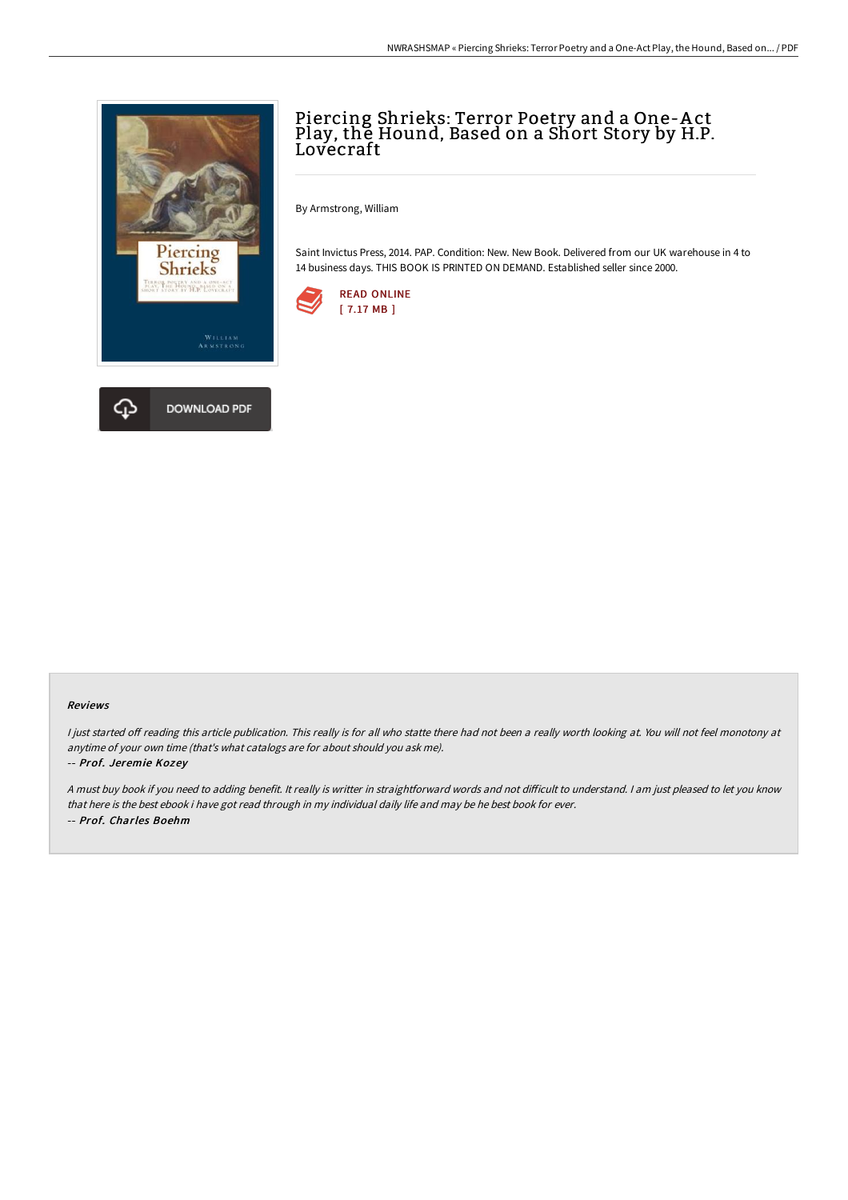

# Piercing Shrieks: Terror Poetry and a One-A ct Play, the Hound, Based on a Short Story by H.P. Lovecraft

By Armstrong, William

Saint Invictus Press, 2014. PAP. Condition: New. New Book. Delivered from our UK warehouse in 4 to 14 business days. THIS BOOK IS PRINTED ON DEMAND. Established seller since 2000.



### Reviews

I just started off reading this article publication. This really is for all who statte there had not been a really worth looking at. You will not feel monotony at anytime of your own time (that's what catalogs are for about should you ask me).

#### -- Prof. Jeremie Kozey

A must buy book if you need to adding benefit. It really is writter in straightforward words and not difficult to understand. I am just pleased to let you know that here is the best ebook i have got read through in my individual daily life and may be he best book for ever. -- Prof. Charles Boehm